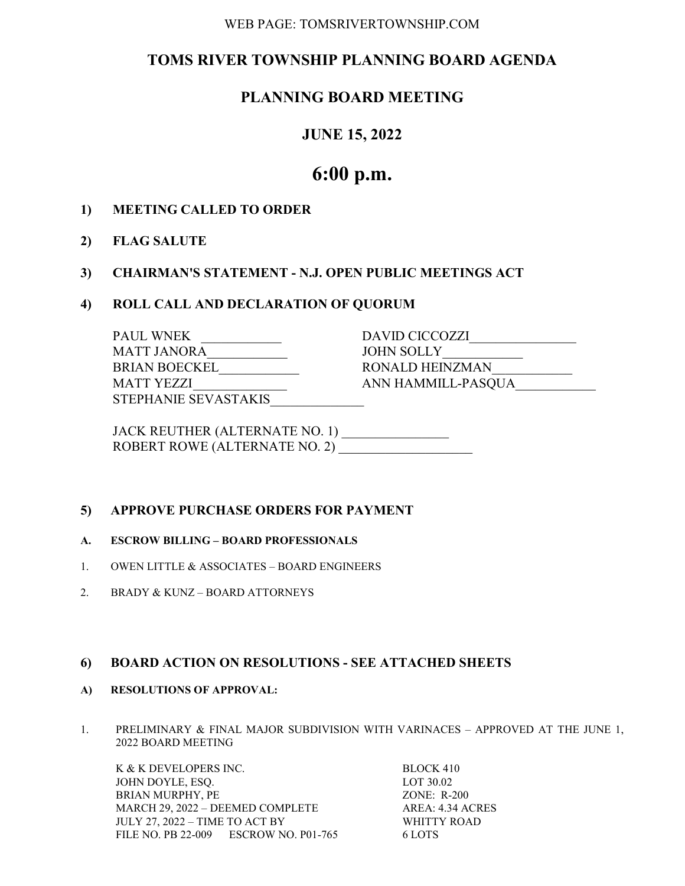#### WEB PAGE: TOMSRIVERTOWNSHIP.COM

# TOMS RIVER TOWNSHIP PLANNING BOARD AGENDA

# PLANNING BOARD MEETING

# JUNE 15, 2022

# 6:00 p.m.

- 1) MEETING CALLED TO ORDER
- 2) FLAG SALUTE

### 3) CHAIRMAN'S STATEMENT - N.J. OPEN PUBLIC MEETINGS ACT

#### 4) ROLL CALL AND DECLARATION OF QUORUM

| <b>PAUL WNEK</b>     | DAVID CICCOZZI     |
|----------------------|--------------------|
| MATT JANORA          | JOHN SOLLY         |
| <b>BRIAN BOECKEL</b> | RONALD HEINZMAN    |
| <b>MATT YEZZI</b>    | ANN HAMMILL-PASQUA |
| STEPHANIE SEVASTAKIS |                    |

 JACK REUTHER (ALTERNATE NO. 1) \_\_\_\_\_\_\_\_\_\_\_\_\_\_\_\_ ROBERT ROWE (ALTERNATE NO. 2)

## 5) APPROVE PURCHASE ORDERS FOR PAYMENT

#### A. ESCROW BILLING – BOARD PROFESSIONALS

- 1. OWEN LITTLE & ASSOCIATES BOARD ENGINEERS
- 2. BRADY & KUNZ BOARD ATTORNEYS

#### 6) BOARD ACTION ON RESOLUTIONS - SEE ATTACHED SHEETS

- A) RESOLUTIONS OF APPROVAL:
- 1. PRELIMINARY & FINAL MAJOR SUBDIVISION WITH VARINACES APPROVED AT THE JUNE 1, 2022 BOARD MEETING

K & K DEVELOPERS INC. BLOCK 410 JOHN DOYLE, ESQ. LOT 30.02 BRIAN MURPHY, PE ZONE: R-200 MARCH 29, 2022 – DEEMED COMPLETE AREA: 4.34 ACRES JULY 27, 2022 – TIME TO ACT BY WHITTY ROAD FILE NO. PB 22-009 ESCROW NO. P01-765 6 LOTS